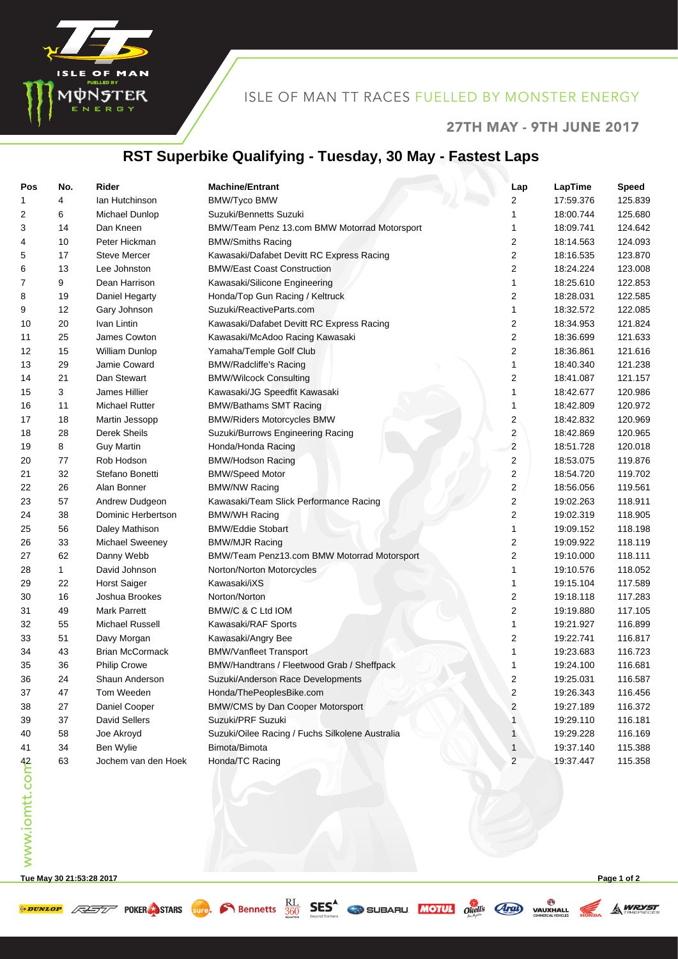

#### ISLE OF MAN TT RACES FUELLED BY MONSTER ENERGY

#### 27TH MAY - 9TH JUNE 2017

## **RST Superbike Qualifying - Tuesday, 30 May - Fastest Laps**

| Pos            | No. | Rider                  | <b>Machine/Entrant</b>                          | Lap                     | LapTime   | <b>Speed</b> |
|----------------|-----|------------------------|-------------------------------------------------|-------------------------|-----------|--------------|
| 1              | 4   | lan Hutchinson         | <b>BMW/Tyco BMW</b>                             | 2                       | 17:59.376 | 125.839      |
| 2              | 6   | Michael Dunlop         | Suzuki/Bennetts Suzuki                          | 1                       | 18:00.744 | 125.680      |
| 3              | 14  | Dan Kneen              | BMW/Team Penz 13.com BMW Motorrad Motorsport    | 1                       | 18:09.741 | 124.642      |
| 4              | 10  | Peter Hickman          | <b>BMW/Smiths Racing</b>                        | 2                       | 18:14.563 | 124.093      |
| 5              | 17  | <b>Steve Mercer</b>    | Kawasaki/Dafabet Devitt RC Express Racing       | 2                       | 18:16.535 | 123.870      |
| 6              | 13  | Lee Johnston           | <b>BMW/East Coast Construction</b>              | 2                       | 18:24.224 | 123.008      |
| 7              | 9   | Dean Harrison          | Kawasaki/Silicone Engineering                   | 1                       | 18:25.610 | 122.853      |
| 8              | 19  | Daniel Hegarty         | Honda/Top Gun Racing / Keltruck                 | 2                       | 18:28.031 | 122.585      |
| 9              | 12  | Gary Johnson           | Suzuki/ReactiveParts.com                        | 1                       | 18:32.572 | 122.085      |
| 10             | 20  | Ivan Lintin            | Kawasaki/Dafabet Devitt RC Express Racing       | 2                       | 18:34.953 | 121.824      |
| 11             | 25  | James Cowton           | Kawasaki/McAdoo Racing Kawasaki                 | 2                       | 18:36.699 | 121.633      |
| 12             | 15  | William Dunlop         | Yamaha/Temple Golf Club                         | 2                       | 18:36.861 | 121.616      |
| 13             | 29  | Jamie Coward           | <b>BMW/Radcliffe's Racing</b>                   | 1                       | 18:40.340 | 121.238      |
| 14             | 21  | Dan Stewart            | <b>BMW/Wilcock Consulting</b>                   | 2                       | 18:41.087 | 121.157      |
| 15             | 3   | James Hillier          | Kawasaki/JG Speedfit Kawasaki                   | 1                       | 18:42.677 | 120.986      |
| 16             | 11  | <b>Michael Rutter</b>  | <b>BMW/Bathams SMT Racing</b>                   | 1                       | 18:42.809 | 120.972      |
| 17             | 18  | Martin Jessopp         | <b>BMW/Riders Motorcycles BMW</b>               | 2                       | 18:42.832 | 120.969      |
| 18             | 28  | Derek Sheils           | Suzuki/Burrows Engineering Racing               | $\overline{\mathbf{c}}$ | 18:42.869 | 120.965      |
| 19             | 8   | <b>Guy Martin</b>      | Honda/Honda Racing                              | $\overline{2}$          | 18:51.728 | 120.018      |
| 20             | 77  | Rob Hodson             | <b>BMW/Hodson Racing</b>                        | 2                       | 18:53.075 | 119.876      |
| 21             | 32  | Stefano Bonetti        | <b>BMW/Speed Motor</b>                          | 2                       | 18:54.720 | 119.702      |
| 22             | 26  | Alan Bonner            | <b>BMW/NW Racing</b>                            | 2                       | 18:56.056 | 119.561      |
| 23             | 57  | Andrew Dudgeon         | Kawasaki/Team Slick Performance Racing          | 2                       | 19:02.263 | 118.911      |
| 24             | 38  | Dominic Herbertson     | <b>BMW/WH Racing</b>                            | 2                       | 19:02.319 | 118.905      |
| 25             | 56  | Daley Mathison         | <b>BMW/Eddie Stobart</b>                        | 1                       | 19:09.152 | 118.198      |
| 26             | 33  | <b>Michael Sweeney</b> | <b>BMW/MJR Racing</b>                           | 2                       | 19:09.922 | 118.119      |
| 27             | 62  | Danny Webb             | BMW/Team Penz13.com BMW Motorrad Motorsport     | 2                       | 19:10.000 | 118.111      |
| 28             | 1   | David Johnson          | Norton/Norton Motorcycles                       | 1                       | 19:10.576 | 118.052      |
| 29             | 22  | <b>Horst Saiger</b>    | Kawasaki/iXS                                    | 1                       | 19:15.104 | 117.589      |
| 30             | 16  | Joshua Brookes         | Norton/Norton                                   | 2                       | 19:18.118 | 117.283      |
| 31             | 49  | <b>Mark Parrett</b>    | BMW/C & C Ltd IOM                               | 2                       | 19:19.880 | 117.105      |
| 32             | 55  | Michael Russell        | Kawasaki/RAF Sports                             | 1                       | 19:21.927 | 116.899      |
| 33             | 51  | Davy Morgan            | Kawasaki/Angry Bee                              | 2                       | 19:22.741 | 116.817      |
| 34             | 43  | <b>Brian McCormack</b> | <b>BMW/Vanfleet Transport</b>                   | 1                       | 19:23.683 | 116.723      |
| 35             | 36  | Philip Crowe           | BMW/Handtrans / Fleetwood Grab / Sheffpack      | 1                       | 19:24.100 | 116.681      |
| 36             | 24  | Shaun Anderson         | Suzuki/Anderson Race Developments               | 2                       | 19:25.031 | 116.587      |
| 37             | 47  | Tom Weeden             | Honda/ThePeoplesBike.com                        | 2                       | 19:26.343 | 116.456      |
| 38             | 27  | Daniel Cooper          | BMW/CMS by Dan Cooper Motorsport                | 2                       | 19:27.189 | 116.372      |
| 39             | 37  | David Sellers          | Suzuki/PRF Suzuki                               | 1                       | 19:29.110 | 116.181      |
| 40             | 58  | Joe Akroyd             | Suzuki/Oilee Racing / Fuchs Silkolene Australia | 1                       | 19:29.228 | 116.169      |
| 41             | 34  | Ben Wylie              | Bimota/Bimota                                   | 1                       | 19:37.140 | 115.388      |
|                | 63  | Jochem van den Hoek    | Honda/TC Racing                                 | $\overline{\mathbf{c}}$ | 19:37.447 | 115.358      |
| www.iomtt.comb |     |                        |                                                 |                         |           |              |

**Tue May 30 21:53:28 2017 Page 1 of 2**

**A WRYST**